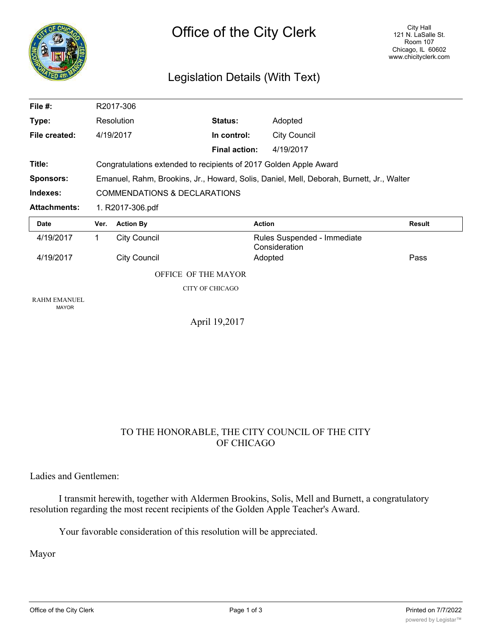

## Legislation Details (With Text)

| File #:                             |                                                                                          | R2017-306           |                      |                                              |               |
|-------------------------------------|------------------------------------------------------------------------------------------|---------------------|----------------------|----------------------------------------------|---------------|
| Type:                               |                                                                                          | Resolution          | Status:              | Adopted                                      |               |
| File created:                       |                                                                                          | 4/19/2017           | In control:          | <b>City Council</b>                          |               |
|                                     |                                                                                          |                     | <b>Final action:</b> | 4/19/2017                                    |               |
| Title:                              | Congratulations extended to recipients of 2017 Golden Apple Award                        |                     |                      |                                              |               |
| <b>Sponsors:</b>                    | Emanuel, Rahm, Brookins, Jr., Howard, Solis, Daniel, Mell, Deborah, Burnett, Jr., Walter |                     |                      |                                              |               |
| Indexes:                            | <b>COMMENDATIONS &amp; DECLARATIONS</b>                                                  |                     |                      |                                              |               |
| <b>Attachments:</b>                 | 1. R2017-306.pdf                                                                         |                     |                      |                                              |               |
|                                     |                                                                                          |                     |                      |                                              |               |
| <b>Date</b>                         | Ver.                                                                                     | <b>Action By</b>    | <b>Action</b>        |                                              | <b>Result</b> |
| 4/19/2017                           | 1                                                                                        | <b>City Council</b> |                      | Rules Suspended - Immediate<br>Consideration |               |
| 4/19/2017                           |                                                                                          | <b>City Council</b> |                      | Adopted                                      | Pass          |
|                                     |                                                                                          | OFFICE OF THE MAYOR |                      |                                              |               |
|                                     |                                                                                          |                     | CITY OF CHICAGO      |                                              |               |
| <b>RAHM EMANUEL</b><br><b>MAYOR</b> |                                                                                          |                     |                      |                                              |               |

## TO THE HONORABLE, THE CITY COUNCIL OF THE CITY OF CHICAGO

Ladies and Gentlemen:

I transmit herewith, together with Aldermen Brookins, Solis, Mell and Burnett, a congratulatory resolution regarding the most recent recipients of the Golden Apple Teacher's Award.

Your favorable consideration of this resolution will be appreciated.

Mayor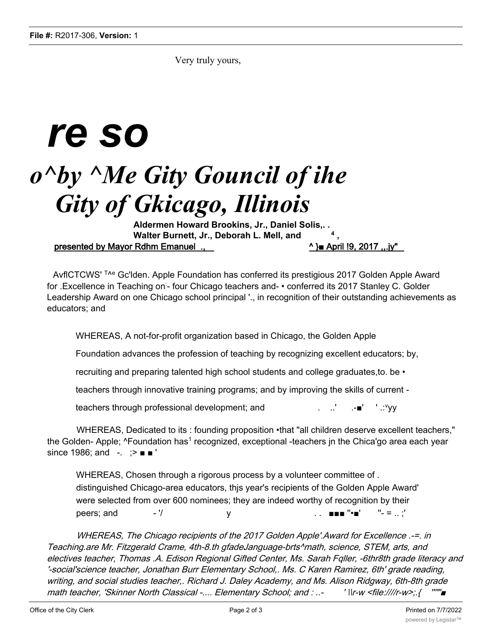Very truly yours,

## *re so o^by ^Me Gity Gouncil of ihe Gity of Gkicago, Illinois*

**Aldermen Howard Brookins, Jr., Daniel Solis,. . Walter Burnett, Jr., Deborah L. Mell, and** presented by Mayor Rdhm Emanuel .,  $\Delta$  and  $\Delta$  and  $\Delta$  and  $\Delta$  and  $\Delta$  and  $\Delta$  and  $\Delta$  and  $\Delta$  and  $\Delta$  and  $\Delta$  and  $\Delta$  and  $\Delta$  and  $\Delta$  and  $\Delta$  and  $\Delta$  and  $\Delta$  and  $\Delta$  and  $\Delta$  and  $\Delta$  and  $\Delta$  and  $\Delta$  a

AvflCTCWS' The Gc'lden. Apple Foundation has conferred its prestigious 2017 Golden Apple Award for .Excellence in Teaching on - four Chicago teachers and- • conferred its 2017 Stanley C. Golder Leadership Award on one Chicago school principal '., in recognition of their outstanding achievements as educators; and

WHEREAS, A not-for-profit organization based in Chicago, the Golden Apple

Foundation advances the profession of teaching by recognizing excellent educators; by,

recruiting and preparing talented high school students and college graduates,to. be •

teachers through innovative training programs; and by improving the skills of current -

teachers through professional development; and  $\cdot$   $\cdot$   $\cdot$   $\cdot$   $\cdot$ 

WHEREAS, Dedicated to its : founding proposition •that "all children deserve excellent teachers," the Golden- Apple;  $\text{``Foundation has}^1$  recognized, exceptional -teachers in the Chica'go area each year since 1986; and -. ; > ■ ■

WHEREAS, Chosen through a rigorous process by a volunteer committee of . distinguished Chicago-area educators, thjs year's recipients of the Golden Apple Award' were selected from over 600 nominees; they are indeed worthy of recognition by their peers; and  $-$  '/  $\vee$  y  $\qquad \qquad \ldots$   $\qquad \qquad \blacksquare$  " $\blacksquare$  " $\lnot = \ldots$ "

WHEREAS, The Chicago recipients of the 2017 Golden Apple'.Award for Excellence .-=. in Teaching.are Mr. Fitzgerald Crame, 4th-8.th gfadeJanguage-brts^math, science, STEM, arts, and electives teacher, Thomas .A. Edison Regional Gifted Center, Ms. Sarah Fqller, -6thr8th grade literacy and '-social'science teacher, Jonathan Burr Elementary School,. Ms. C Karen Ramirez, 6th' grade reading, writing, and social studies teacher,. Richard J. Daley Academy, and Ms. Alison Ridgway, 6th-8th grade math teacher, 'Skinner North Classical -.... Elementary School; and : ..- ' \\r-w <file:////r-w>;.{ '''"'■